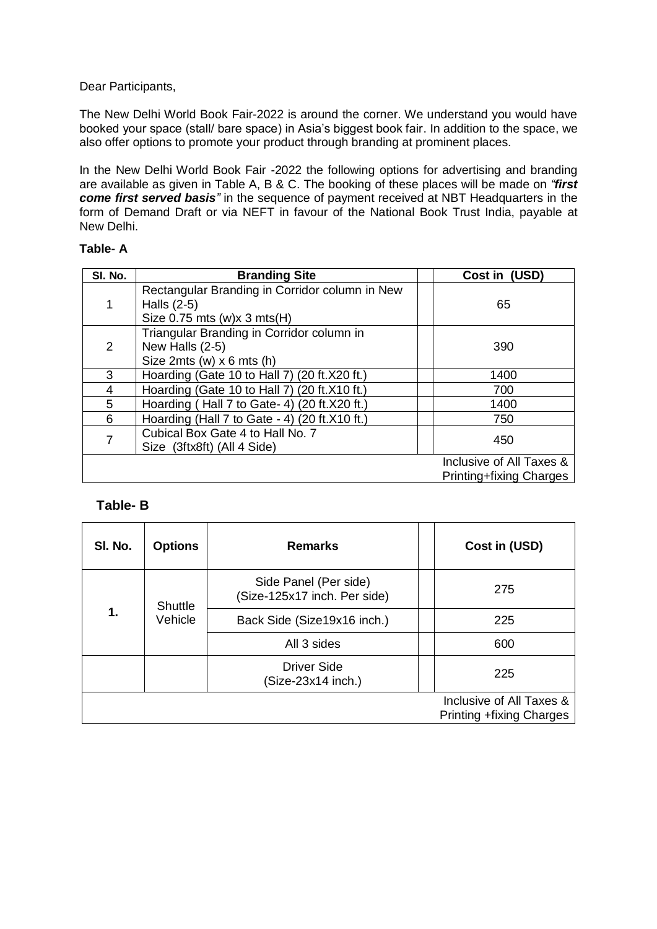### Dear Participants,

The New Delhi World Book Fair-2022 is around the corner. We understand you would have booked your space (stall/ bare space) in Asia's biggest book fair. In addition to the space, we also offer options to promote your product through branding at prominent places.

In the New Delhi World Book Fair -2022 the following options for advertising and branding are available as given in Table A, B & C. The booking of these places will be made on *"first come first served basis"* in the sequence of payment received at NBT Headquarters in the form of Demand Draft or via NEFT in favour of the National Book Trust India, payable at New Delhi.

### **Table- A**

| SI. No.        | <b>Branding Site</b>                                                                           | Cost in (USD)                                              |
|----------------|------------------------------------------------------------------------------------------------|------------------------------------------------------------|
|                | Rectangular Branding in Corridor column in New<br>Halls (2-5)<br>Size $0.75$ mts (w)x 3 mts(H) | 65                                                         |
| 2              | Triangular Branding in Corridor column in<br>New Halls (2-5)<br>Size 2mts (w) $x 6$ mts (h)    | 390                                                        |
| 3              | Hoarding (Gate 10 to Hall 7) (20 ft.X20 ft.)                                                   | 1400                                                       |
| 4              | Hoarding (Gate 10 to Hall 7) (20 ft.X10 ft.)                                                   | 700                                                        |
| 5              | Hoarding (Hall 7 to Gate- 4) (20 ft.X20 ft.)                                                   | 1400                                                       |
| 6              | Hoarding (Hall 7 to Gate - 4) (20 ft.X10 ft.)                                                  | 750                                                        |
| $\overline{7}$ | Cubical Box Gate 4 to Hall No. 7<br>Size (3ftx8ft) (All 4 Side)                                | 450                                                        |
|                |                                                                                                | Inclusive of All Taxes &<br><b>Printing+fixing Charges</b> |

## **Table- B**

| SI. No. | <b>Options</b>     | <b>Remarks</b>                                        | Cost in (USD)                                        |
|---------|--------------------|-------------------------------------------------------|------------------------------------------------------|
|         | Shuttle<br>Vehicle | Side Panel (Per side)<br>(Size-125x17 inch. Per side) | 275                                                  |
| 1.      |                    | Back Side (Size19x16 inch.)                           | 225                                                  |
|         |                    | All 3 sides                                           | 600                                                  |
|         |                    | <b>Driver Side</b><br>(Size-23x14 inch.)              | 225                                                  |
|         |                    |                                                       | Inclusive of All Taxes &<br>Printing +fixing Charges |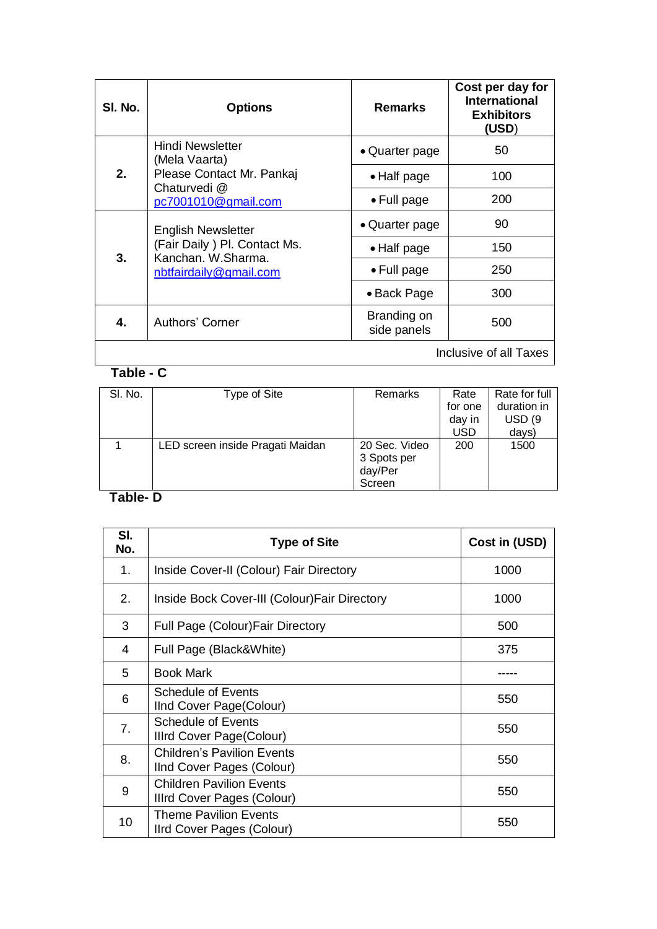| SI. No.                | <b>Options</b>                                                                                            | Remarks                    | Cost per day for<br><b>International</b><br><b>Exhibitors</b><br>(USD) |
|------------------------|-----------------------------------------------------------------------------------------------------------|----------------------------|------------------------------------------------------------------------|
|                        | Hindi Newsletter<br>(Mela Vaarta)                                                                         | • Quarter page             | 50                                                                     |
| 2.                     | Please Contact Mr. Pankaj<br>Chaturvedi @<br>pc7001010@gmail.com                                          | • Half page                | 100                                                                    |
|                        |                                                                                                           | $\bullet$ Full page        | 200                                                                    |
|                        | <b>English Newsletter</b><br>(Fair Daily) Pl. Contact Ms.<br>Kanchan, W.Sharma.<br>nbtfairdaily@gmail.com | • Quarter page             | 90                                                                     |
| 3.                     |                                                                                                           | $\bullet$ Half page        | 150                                                                    |
|                        |                                                                                                           | • Full page                | 250                                                                    |
|                        |                                                                                                           | • Back Page                | 300                                                                    |
| 4.                     | Authors' Corner                                                                                           | Branding on<br>side panels | 500                                                                    |
| Inclusive of all Taxes |                                                                                                           |                            |                                                                        |

# **Table - C**

| SI. No. | Type of Site                     | <b>Remarks</b> | Rate    | Rate for full     |
|---------|----------------------------------|----------------|---------|-------------------|
|         |                                  |                | for one | duration in       |
|         |                                  |                | day in  | USD <sub>(9</sub> |
|         |                                  |                | USD     | days)             |
|         | LED screen inside Pragati Maidan | 20 Sec. Video  | 200     | 1500              |
|         |                                  | 3 Spots per    |         |                   |
|         |                                  | day/Per        |         |                   |
|         |                                  | Screen         |         |                   |

## **Table- D**

| SI.<br>No. | <b>Type of Site</b>                                            | Cost in (USD) |
|------------|----------------------------------------------------------------|---------------|
| 1.         | Inside Cover-II (Colour) Fair Directory                        | 1000          |
| 2.         | Inside Bock Cover-III (Colour) Fair Directory                  | 1000          |
| 3          | <b>Full Page (Colour) Fair Directory</b>                       | 500           |
| 4          | Full Page (Black&White)                                        | 375           |
| 5          | Book Mark                                                      |               |
| 6          | <b>Schedule of Events</b><br>IInd Cover Page(Colour)           | 550           |
| 7.         | <b>Schedule of Events</b><br>Illrd Cover Page(Colour)          | 550           |
| 8.         | <b>Children's Pavilion Events</b><br>IInd Cover Pages (Colour) | 550           |
| 9          | <b>Children Pavilion Events</b><br>Illrd Cover Pages (Colour)  | 550           |
| 10         | <b>Theme Pavilion Events</b><br>IIrd Cover Pages (Colour)      | 550           |